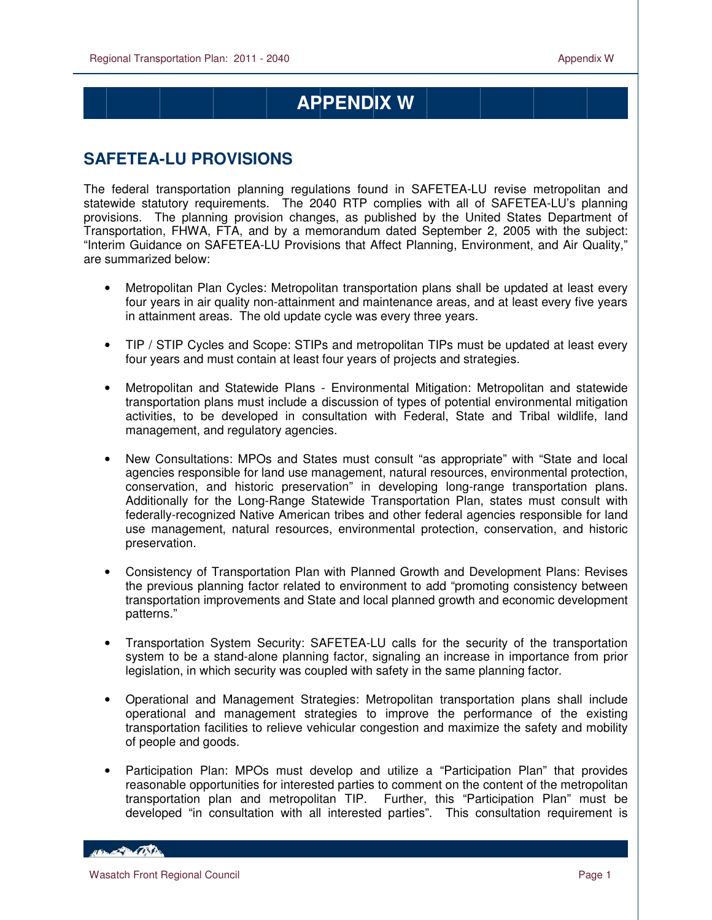$\overline{a}$ 

## **APPENDIX W**

## **SAFETEA-LU PROVISIONS**

The federal transportation planning regulations found in SAFETEA-LU revise metropolitan and statewide statutory requirements. The 2040 RTP complies with all of SAFETEA-LU's planning provisions. The planning provision changes, as published by the United States Department of Transportation, FHWA, FTA, and by a memorandum dated September 2, 2005 with the subject: "Interim Guidance on SAFETEA-LU Provisions that Affect Planning, Environment, and Air Quality," are summarized below:

- Metropolitan Plan Cycles: Metropolitan transportation plans shall be updated at least every four years in air quality non-attainment and maintenance areas, and at least every five years in attainment areas. The old update cycle was every three years.
- TIP / STIP Cycles and Scope: STIPs and metropolitan TIPs must be updated at least every four years and must contain at least four years of projects and strategies.
- Metropolitan and Statewide Plans Environmental Mitigation: Metropolitan and statewide transportation plans must include a discussion of types of potential environmental mitigation activities, to be developed in consultation with Federal, State and Tribal wildlife, land management, and regulatory agencies.
- New Consultations: MPOs and States must consult "as appropriate" with "State and local agencies responsible for land use management, natural resources, environmental protection, conservation, and historic preservation" in developing long-range transportation plans. Additionally for the Long-Range Statewide Transportation Plan, states must consult with federally-recognized Native American tribes and other federal agencies responsible for land use management, natural resources, environmental protection, conservation, and historic preservation.
- Consistency of Transportation Plan with Planned Growth and Development Plans: Revises the previous planning factor related to environment to add "promoting consistency between transportation improvements and State and local planned growth and economic development patterns."
- Transportation System Security: SAFETEA-LU calls for the security of the transportation system to be a stand-alone planning factor, signaling an increase in importance from prior legislation, in which security was coupled with safety in the same planning factor.
- Operational and Management Strategies: Metropolitan transportation plans shall include operational and management strategies to improve the performance of the existing transportation facilities to relieve vehicular congestion and maximize the safety and mobility of people and goods.
- Participation Plan: MPOs must develop and utilize a "Participation Plan" that provides reasonable opportunities for interested parties to comment on the content of the metropolitan transportation plan and metropolitan TIP. Further, this "Participation Plan" must be developed "in consultation with all interested parties". This consultation requirement is

**CONTRACTOR**